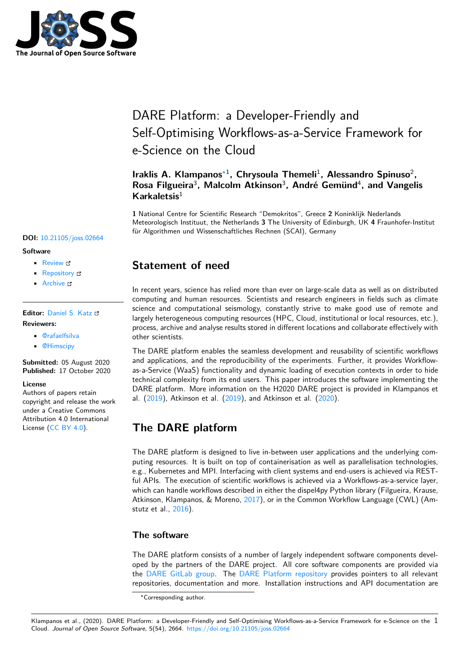

# DARE Platform: a Developer-Friendly and Self-Optimising Workflows-as-a-Service Framework for e-Science on the Cloud

### **Iraklis A. Klampanos**∗1 **, Chrysoula Themeli**<sup>1</sup> **, Alessandro Spinuso**<sup>2</sup> **, Rosa Filgueira**<sup>3</sup> **, Malcolm Atkinson**<sup>3</sup> **, André Gemünd**<sup>4</sup> **, and Vangelis Karkaletsis**<sup>1</sup>

**1** National Centre for Scientific Research "Demokritos", Greece **2** Koninklijk Nederlands Meteorologisch Instituut, the Netherlands **3** The University of Edinburgh, UK **4** Fraunhofer-Institut für Algorithmen und Wissenschaftliches Rechnen (SCAI), Germany

#### **DOI:** 10.21105/joss.02664

#### **Software**

- Review &
- [Repository](https://doi.org/10.21105/joss.02664) &
- Archive

#### **Editor:** [Daniel S.](https://gitlab.com/project-dare/dare-platform) Katz **Revie[wers:](https://doi.org/10.5281/zenodo.4095463)**

- - @rafaelfsilva

• @[Himscipy](http://danielskatz.org/)

**Submitted:** 05 August 2020 **Published:** [17 Oct](https://github.com/rafaelfsilva)ober 2020

#### **License**

Autho[rs of papers](https://github.com/Himscipy) retain copyright and release the work under a Creative Commons Attribution 4.0 International License (CC BY 4.0).

## **Statement of need**

In recent years, science has relied more than ever on large-scale data as well as on distributed computing and human resources. Scientists and research engineers in fields such as climate science and computational seismology, constantly strive to make good use of remote and largely heterogeneous computing resources (HPC, Cloud, institutional or local resources, etc.), process, archive and analyse results stored in different locations and collaborate effectively with other scientists.

The DARE platform enables the seamless development and reusability of scientific workflows and applications, and the reproducibility of the experiments. Further, it provides Workflowas-a-Service (WaaS) functionality and dynamic loading of execution contexts in order to hide technical complexity from its end users. This paper introduces the software implementing the DARE platform. More information on the H2020 DARE project is provided in Klampanos et al. (2019), Atkinson et al. (2019), and Atkinson et al. (2020).

## **T[he D](#page-3-0)ARE platfo[rm](#page-3-1)**

The DARE platform is designed to live in-between user applications and the underlying computing resources. It is built on top of containerisation as well as parallelisation technologies, e.g., Kubernetes and MPI. Interfacing with client systems and end-users is achieved via RESTful APIs. The execution of scientific workflows is achieved via a Workflows-as-a-service layer, which can handle workflows described in either the dispel4py Python library (Filgueira, Krause, Atkinson, Klampanos, & Moreno, 2017), or in the Common Workflow Language (CWL) (Amstutz et al., 2016).

### **The software**

The DARE [platfo](#page-3-2)rm consists of a number of largely independent software components developed by the partners of the DARE project. All core software components are provided via the DARE GitLab group. The DARE Platform repository provides pointers to all relevant repositories, documentation and more. Installation instructions and API documentation are

<sup>∗</sup>Corresponding author.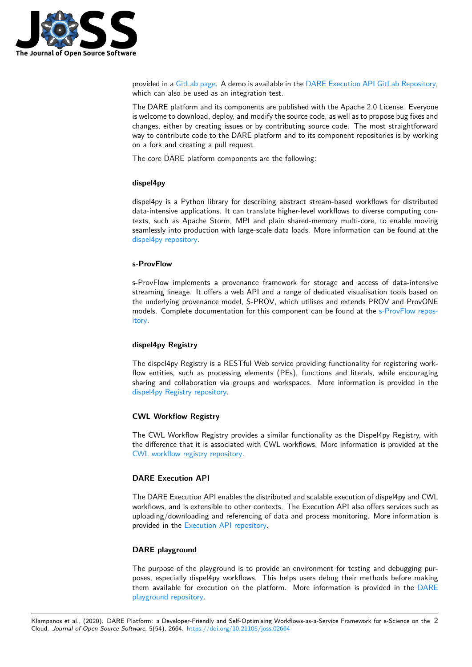

provided in a GitLab page. A demo is available in the DARE Execution API GitLab Repository, which can also be used as an integration test.

The DARE platform and its components are published with the Apache 2.0 License. Everyone is welcome to download, deploy, and modify the source code, as well as to propose bug fixes and changes, eith[er by creatin](https://project-dare.gitlab.io/dare-platform/)g issues or by contributing [source code. The most straightforward](https://gitlab.com/project-dare/exec-api/-/tree/master/examples/mySplitMerge) way to contribute code to the DARE platform and to its component repositories is by working on a fork and creating a pull request.

The core DARE platform components are the following:

#### **dispel4py**

dispel4py is a Python library for describing abstract stream-based workflows for distributed data-intensive applications. It can translate higher-level workflows to diverse computing contexts, such as Apache Storm, MPI and plain shared-memory multi-core, to enable moving seamlessly into production with large-scale data loads. More information can be found at the dispel4py repository.

#### **s-ProvFlow**

[s-ProvFlow impleme](https://gitlab.com/project-dare/dispel4py)nts a provenance framework for storage and access of data-intensive streaming lineage. It offers a web API and a range of dedicated visualisation tools based on the underlying provenance model, S-PROV, which utilises and extends PROV and ProvONE models. Complete documentation for this component can be found at the s-ProvFlow repository.

#### **dispel4py Registry**

[The](https://gitlab.com/project-dare/s-ProvFlow) dispel4py Registry is a RESTful Web service providing functionality for registering workflow entities, such as processing elements (PEs), functions and literals, while encouraging sharing and collaboration via groups and workspaces. More information is provided in the dispel4py Registry repository.

#### **CWL Workflow Registry**

[The CWL Workflow Registry](https://gitlab.com/project-dare/d4p-registry) provides a similar functionality as the Dispel4py Registry, with the difference that it is associated with CWL workflows. More information is provided at the CWL workflow registry repository.

#### **DARE Execution API**

[The DARE Execution API enables](https://gitlab.com/project-dare/workflow-registry) the distributed and scalable execution of dispel4py and CWL workflows, and is extensible to other contexts. The Execution API also offers services such as uploading/downloading and referencing of data and process monitoring. More information is provided in the Execution API repository.

#### **DARE playground**

The purpose of [the playground is to prov](https://gitlab.com/project-dare/exec-api)ide an environment for testing and debugging purposes, especially dispel4py workflows. This helps users debug their methods before making them available for execution on the platform. More information is provided in the DARE playground repository.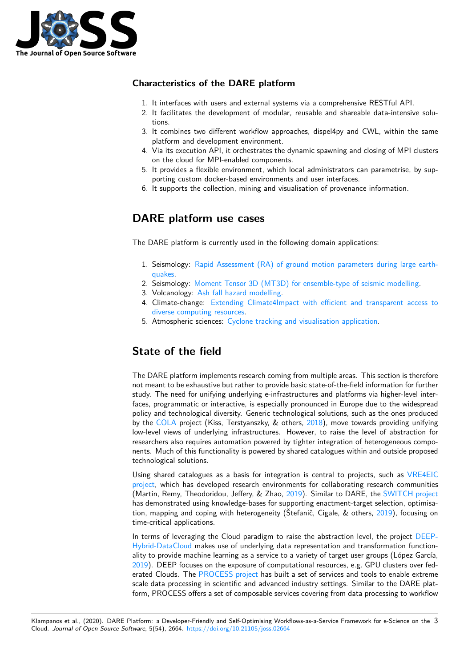

### **Characteristics of the DARE platform**

- 1. It interfaces with users and external systems via a comprehensive RESTful API.
- 2. It facilitates the development of modular, reusable and shareable data-intensive solutions.
- 3. It combines two different workflow approaches, dispel4py and CWL, within the same platform and development environment.
- 4. Via its execution API, it orchestrates the dynamic spawning and closing of MPI clusters on the cloud for MPI-enabled components.
- 5. It provides a flexible environment, which local administrators can parametrise, by supporting custom docker-based environments and user interfaces.
- 6. It supports the collection, mining and visualisation of provenance information.

## **DARE platform use cases**

The DARE platform is currently used in the following domain applications:

- 1. Seismology: Rapid Assessment (RA) of ground motion parameters during large earthquakes.
- 2. Seismology: Moment Tensor 3D (MT3D) for ensemble-type of seismic modelling.
- 3. Volcanology: Ash fall hazard modelling.
- 4. Climate-change: [Extending Climate4Impact with efficient and transparent access to](https://gitlab.com/project-dare/WP6_EPOS) [diverse](https://gitlab.com/project-dare/WP6_EPOS) computing resources.
- 5. Atmospheric sciences: [Cyclone tracking and visualisation application.](https://gitlab.com/project-dare/WP6_EPOS)

## **Sta[te of the field](https://gitlab.com/project-dare/WP7_IS-ENES_Climate4Impact)**

The DARE platform implements research coming from multiple areas. This section is therefore not meant to be exhaustive but rather to provide basic state-of-the-field information for further study. The need for unifying underlying e-infrastructures and platforms via higher-level interfaces, programmatic or interactive, is especially pronounced in Europe due to the widespread policy and technological diversity. Generic technological solutions, such as the ones produced by the COLA project (Kiss, Terstyanszky, & others, 2018), move towards providing unifying low-level views of underlying infrastructures. However, to raise the level of abstraction for researchers also requires automation powered by tighter integration of heterogeneous components. Much of this functionality is powered by shared catalogues within and outside proposed technol[ogical](https://project-cola.eu) solutions.

Using shared catalogues as a basis for integration is central to projects, such as VRE4EIC project, which has developed research environments for collaborating research communities (Martin, Remy, Theodoridou, Jeffery, & Zhao, 2019). Similar to DARE, the SWITCH project has demonstrated using knowledge-bases for supporting enactment-target selection, optimisation, mapping and coping with heterogeneity (Štefanič, Cigale, & others, 2019), fo[cusing on](https://vre4eic.ercim.eu) [time-cr](https://vre4eic.ercim.eu)itical applications.

In terms of leveraging the Cloud paradigm to [raise](#page-3-3) the abstraction level, t[he project](https://cordis.europa.eu/project/id/643963) DEEP-Hybrid-DataCloud makes use of underlying data representation and transformation functionality to provide machine learning as a service to a variety of target user gr[oups \(](#page-3-4)López García, 2019). DEEP focuses on the exposure of computational resources, e.g. GPU clusters over federated Clouds. The PROCESS project has built a set of services and tools to enable [extreme](https://deep-hybrid-datacloud.eu/) [scale data processi](https://deep-hybrid-datacloud.eu/)ng in scientific and advanced industry settings. Similar to the DARE platform, PROCESS offers a set of composable services covering from data processing to workflow